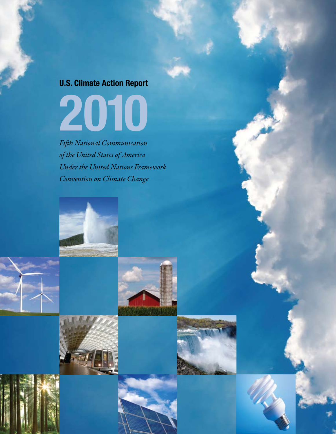#### U.S. Climate Action Report

2010

*Fifth National Communication of the United States of America Under the United Nations Framework Convention on Climate Change*







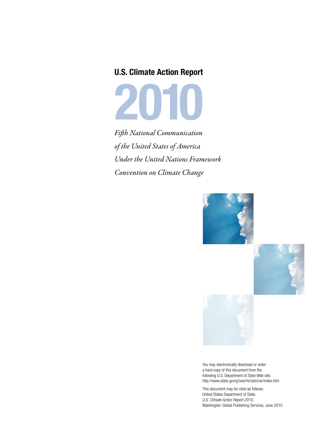#### U.S. Climate Action Report

2010

*Fifth National Communication of the United States of America Under the United Nations Framework Convention on Climate Change*



You may electronically download or order a hard copy of this document from the following U.S. Department of State Web site: http://www.state.gov/g/oes/rls/rpts/car/index.htm

This document may be cited as follows: United States Department of State. *U.S. Climate Action Report 2010.* Washington: Global Publishing Services, June 2010.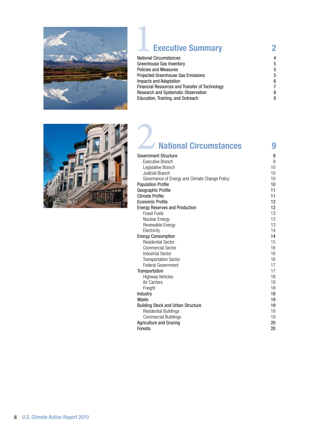

| <b>Executive Summary</b>                       |   |
|------------------------------------------------|---|
| <b>National Circumstances</b>                  | 4 |
| Greenhouse Gas Inventory                       | 5 |
| <b>Policies and Measures</b>                   | 5 |
| Projected Greenhouse Gas Emissions             | 5 |
| <b>Impacts and Adaptation</b>                  | 6 |
| Financial Resources and Transfer of Technology |   |
| <b>Research and Systematic Observation</b>     | 8 |
| Education, Training, and Outreach              | 8 |



| <b>National Circumstances</b>                          | 9        |
|--------------------------------------------------------|----------|
| <b>Government Structure</b>                            | 9        |
| <b>Executive Branch</b>                                | 9        |
| Legislative Branch                                     | 10       |
| Judicial Branch                                        | 10       |
| Governance of Energy and Climate Change Policy         | 10       |
| <b>Population Profile</b>                              | 10       |
| Geographic Profile                                     | 11       |
| Climate Profile                                        | 11       |
| <b>Economic Profile</b>                                | 12       |
| <b>Energy Reserves and Production</b>                  | 12       |
| <b>Fossil Fuels</b>                                    | 13       |
| Nuclear Energy                                         | 13       |
| Renewable Energy                                       | 13       |
| Electricity                                            | 14<br>14 |
| <b>Energy Consumption</b><br><b>Residential Sector</b> | 15       |
| <b>Commercial Sector</b>                               | 16       |
| <b>Industrial Sector</b>                               | 16       |
| <b>Transportation Sector</b>                           | 16       |
| <b>Federal Government</b>                              | 17       |
| Transportation                                         | 17       |
| <b>Highway Vehicles</b>                                | 18       |
| Air Carriers                                           | 18       |
| Freight                                                | 18       |
| Industry                                               | 18       |
| Waste                                                  | 19       |
| <b>Building Stock and Urban Structure</b>              | 19       |
| <b>Residential Buildings</b>                           | 19       |
| <b>Commercial Buildings</b>                            | 19       |
| <b>Agriculture and Grazing</b>                         | 20       |
| Forests                                                | 20       |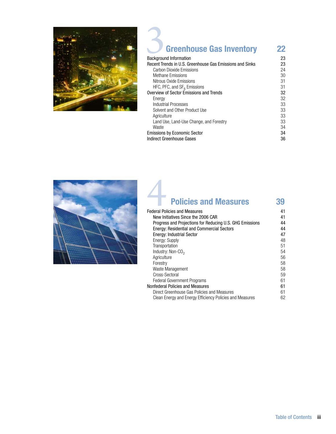

## **3Creenhouse Gas Inventory**<br>Background Information<br>Recent Trends in U.S. Greenhouse Gas Emissions and Sinks<br>23

| <b>Background Information</b>                            | 23 |
|----------------------------------------------------------|----|
| Recent Trends in U.S. Greenhouse Gas Emissions and Sinks | 23 |
| Carbon Dioxide Emissions                                 | 24 |
| Methane Emissions                                        | 30 |
| Nitrous Oxide Emissions                                  | 31 |
| HFC, PFC, and $SF6$ Emissions                            | 31 |
| Overview of Sector Emissions and Trends                  | 32 |
| Energy                                                   | 32 |
| <b>Industrial Processes</b>                              | 33 |
| Solvent and Other Product Use                            | 33 |
| Agriculture                                              | 33 |
| Land Use, Land-Use Change, and Forestry                  | 33 |
| Waste                                                    | 34 |
| Emissions by Economic Sector                             | 34 |
| Indirect Greenhouse Gases                                | 36 |



#### **Policies and Measures** 39<br>
ies and Measures<br>
tives Since the 2006 CAR<br>
41 Federal Policies and Measures New Initiatives Since the 2006 CAR Progress and Projections for Reducing U.S. GHG Emissions 44 Energy: Residential and Commercial Sectors 44 Energy: Industrial Sector 47 Energy: Supply 48 Transportation 51  $\frac{1}{2}$  Industry: Non-CO<sub>2</sub> 54<br>Agriculture 56 Agriculture Forestry 58 Waste Management 58<br>Cross-Sectoral 59 Cross-Sectoral Federal Government Programs 61 Nonfederal Policies and Measures 61 Direct Greenhouse Gas Policies and Measures 61 Clean Energy and Energy Efficiency Policies and Measures 62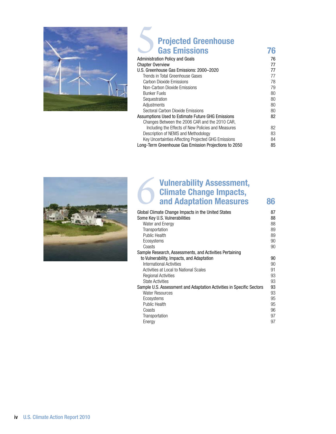

### Projected Greenhouse Gas Emissions **76** Kalendaries

| Administration Policy and Goals                       | 76 |
|-------------------------------------------------------|----|
| Chapter Overview                                      | 77 |
| U.S. Greenhouse Gas Emissions: 2000–2020              | 77 |
| Trends in Total Greenhouse Gases                      | 77 |
| Carbon Dioxide Emissions                              | 78 |
| Non-Carbon Dioxide Emissions                          | 79 |
| <b>Bunker Fuels</b>                                   | 80 |
| Sequestration                                         | 80 |
| Adjustments                                           | 80 |
| Sectoral Carbon Dioxide Emissions                     | 80 |
| Assumptions Used to Estimate Future GHG Emissions     | 82 |
| Changes Between the 2006 CAR and the 2010 CAR.        |    |
| Including the Effects of New Policies and Measures    | 82 |
| Description of NEMS and Methodology                   | 83 |
| Key Uncertainties Affecting Projected GHG Emissions   | 84 |
| Long-Term Greenhouse Gas Emission Projections to 2050 | 85 |



#### Vulnerability Assessment, Climate Change Impacts, and Adaptation Measures 86 Global Clin

| Global Climate Change Impacts in the United States                   | 87 |
|----------------------------------------------------------------------|----|
| Some Key U.S. Vulnerabilities                                        | 88 |
| Water and Energy                                                     | 88 |
| Transportation                                                       | 89 |
| <b>Public Health</b>                                                 | 89 |
| Ecosystems                                                           | 90 |
| Coasts                                                               | 90 |
| Sample Research, Assessments, and Activities Pertaining              |    |
| to Vulnerability, Impacts, and Adaptation                            | 90 |
| International Activities                                             | 90 |
| Activities at Local to National Scales                               | 91 |
| Regional Activities                                                  | 93 |
| <b>State Activities</b>                                              | 93 |
| Sample U.S. Assessment and Adaptation Activities in Specific Sectors | 93 |
| Water Resources                                                      | 93 |
| Ecosystems                                                           | 95 |
| <b>Public Health</b>                                                 | 95 |
| Coasts                                                               | 96 |
| Transportation                                                       | 97 |
| Energy                                                               | 97 |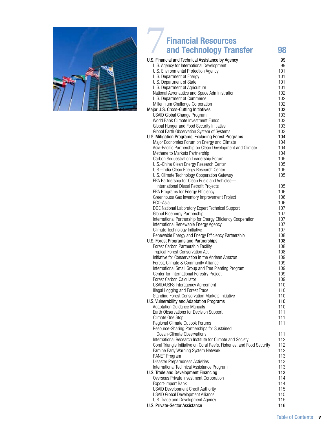

## Financial Resources<br>
and Technology Transfer 98

| U.S. Financial and Technical Assistance by Agency                         | 99  |
|---------------------------------------------------------------------------|-----|
| U.S. Agency for International Development                                 | 99  |
| U.S. Environmental Protection Agency                                      | 101 |
| U.S. Department of Energy                                                 | 101 |
| U.S. Department of State                                                  | 101 |
| U.S. Department of Agriculture                                            | 101 |
| National Aeronautics and Space Administration                             | 102 |
|                                                                           | 102 |
| U.S. Department of Commerce                                               | 102 |
| Millennium Challenge Corporation<br>Major U.S. Cross-Cutting Initiatives  | 103 |
|                                                                           | 103 |
| <b>USAID Global Change Program</b><br>World Bank Climate Investment Funds |     |
|                                                                           | 103 |
| Global Hunger and Food Security Initiative                                | 103 |
| Global Earth Observation System of Systems                                | 103 |
| U.S. Mitigation Programs, Excluding Forest Programs                       | 104 |
| Major Economies Forum on Energy and Climate                               | 104 |
| Asia-Pacific Partnership on Clean Development and Climate                 | 104 |
| Methane to Markets Partnership                                            | 104 |
| Carbon Sequestration Leadership Forum                                     | 105 |
| U.S.-China Clean Energy Research Center                                   | 105 |
| U.S.-India Clean Energy Research Center                                   | 105 |
| U.S. Climate Technology Cooperation Gateway                               | 105 |
| EPA Partnership for Clean Fuels and Vehicles-                             |     |
| International Diesel Retrofit Projects                                    | 105 |
| EPA Programs for Energy Efficiency                                        | 106 |
| Greenhouse Gas Inventory Improvement Project                              | 106 |
| ECO-Asia                                                                  | 106 |
| DOE National Laboratory Expert Technical Support                          | 107 |
| Global Bioenergy Partnership                                              | 107 |
| International Partnership for Energy Efficiency Cooperation               | 107 |
| International Renewable Energy Agency                                     | 107 |
| Climate Technology Initiative                                             | 107 |
| Renewable Energy and Energy Efficiency Partnership                        | 108 |
| U.S. Forest Programs and Partnerships                                     | 108 |
| Forest Carbon Partnership Facility                                        | 108 |
| <b>Tropical Forest Conservation Act</b>                                   | 108 |
| Initiative for Conservation in the Andean Amazon                          | 109 |
| Forest, Climate & Community Alliance                                      | 109 |
| International Small Group and Tree Planting Program                       | 109 |
| Center for International Forestry Project                                 | 109 |
| Forest Carbon Calculator                                                  | 109 |
| USAID/USFS Interagency Agreement                                          | 110 |
| Illegal Logging and Forest Trade                                          | 110 |
|                                                                           | 110 |
| Standing Forest Conservation Markets Initiative                           |     |
| U.S. Vulnerability and Adaptation Programs                                | 110 |
| <b>Adaptation Guidance Manuals</b>                                        | 110 |
| Earth Observations for Decision Support                                   | 111 |
| Climate One Stop                                                          | 111 |
| Regional Climate Outlook Forums                                           | 111 |
| Resource-Sharing Partnerships for Sustained                               |     |
| Ocean-Climate Observations                                                | 111 |
| International Research Institute for Climate and Society                  | 112 |
| Coral Triangle Initiative on Coral Reefs, Fisheries, and Food Security    | 112 |
| Famine Early Warning System Network                                       | 112 |
| <b>RANET Program</b>                                                      | 113 |
| <b>Disaster Preparedness Activities</b>                                   | 113 |
| International Technical Assistance Program                                | 113 |
| U.S. Trade and Development Financing                                      | 113 |
| Overseas Private Investment Corporation                                   | 114 |
| Export-Import Bank                                                        | 114 |
| <b>USAID Development Credit Authority</b>                                 | 115 |
| <b>USAID Global Development Alliance</b>                                  | 115 |
| U.S. Trade and Development Agency                                         | 115 |
| U.S. Private-Sector Assistance                                            | 116 |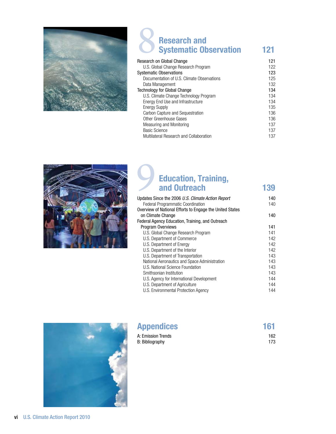

# Research and<br>
Systematic Observation 121<br>
Research on Global Change 121

| Research on Global Change                  | 121 |
|--------------------------------------------|-----|
| U.S. Global Change Research Program        | 122 |
| <b>Systematic Observations</b>             | 123 |
| Documentation of U.S. Climate Observations | 125 |
| Data Management                            | 132 |
| Technology for Global Change               | 134 |
| U.S. Climate Change Technology Program     | 134 |
| Energy End Use and Infrastructure          | 134 |
| <b>Energy Supply</b>                       | 135 |
| Carbon Capture and Sequestration           | 136 |
| Other Greenhouse Gases                     | 136 |
| Measuring and Monitoring                   | 137 |
| <b>Basic Science</b>                       | 137 |
| Multilateral Research and Collaboration    | 137 |



#### Education, Training, and Outreach 139

| <b>Education, Training,</b><br>and Outreach              | 139 |
|----------------------------------------------------------|-----|
| Updates Since the 2006 U.S. Climate Action Report        | 140 |
| <b>Federal Programmatic Coordination</b>                 | 140 |
| Overview of National Efforts to Engage the United States |     |
| on Climate Change                                        | 140 |
| Federal Agency Education, Training, and Outreach         |     |
| Program Overviews                                        | 141 |
| U.S. Global Change Research Program                      | 141 |
| U.S. Department of Commerce                              | 142 |
| U.S. Department of Energy                                | 142 |
| U.S. Department of the Interior                          | 142 |
| U.S. Department of Transportation                        | 143 |
| National Aeronautics and Space Administration            | 143 |
| U.S. National Science Foundation                         | 143 |
| Smithsonian Institution                                  | 143 |
| U.S. Agency for International Development                | 144 |
| U.S. Department of Agriculture                           | 144 |
| U.S. Environmental Protection Agency                     | 144 |



#### Appendices 161 A: Emission Trends 162 B: Bibliography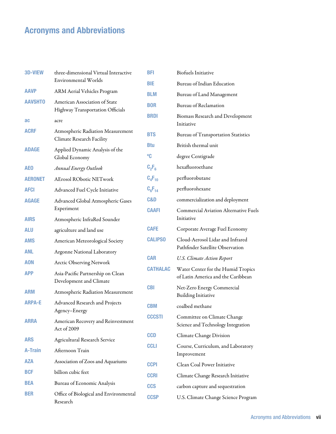#### Acronyms and Abbreviations

| <b>3D-VIEW</b>  | three-dimensional Virtual Interactive                                 | <b>BFI</b>       | <b>Biofuels Initiative</b>                                               |
|-----------------|-----------------------------------------------------------------------|------------------|--------------------------------------------------------------------------|
|                 | Environmental Worlds                                                  | <b>BIE</b>       | Bureau of Indian Education                                               |
| <b>AAVP</b>     | ARM Aerial Vehicles Program                                           | <b>BLM</b>       | Bureau of Land Management                                                |
| <b>AAVSHTO</b>  | American Association of State<br>Highway Transportation Officials     | <b>BOR</b>       | Bureau of Reclamation                                                    |
| <b>ac</b>       | acre                                                                  | <b>BRDI</b>      | Biomass Research and Development<br>Initiative                           |
| <b>ACRF</b>     | Atmospheric Radiation Measurement<br><b>Climate Research Facility</b> | <b>BTS</b>       | Bureau of Transportation Statistics                                      |
| <b>ADAGE</b>    | Applied Dynamic Analysis of the<br>Global Economy                     | <b>Btu</b><br>°C | British thermal unit<br>degree Centigrade                                |
|                 |                                                                       | $C_2F_6$         | hexafluoroethane                                                         |
| AE <sub>0</sub> | <b>Annual Energy Outlook</b>                                          |                  |                                                                          |
| <b>AERONET</b>  | <b>AErosol RObotic NETwork</b>                                        | $C_4F_{10}$      | perfluorobutane                                                          |
| <b>AFCI</b>     | Advanced Fuel Cycle Initiative                                        | $C_6F_{14}$      | perfluorohexane                                                          |
| <b>AGAGE</b>    | Advanced Global Atmospheric Gases                                     | <b>C&amp;D</b>   | commercialization and deployment                                         |
|                 | Experiment                                                            | <b>CAAFI</b>     | <b>Commercial Aviation Alternative Fuels</b>                             |
| <b>AIRS</b>     | Atmospheric InfraRed Sounder                                          |                  | Initiative                                                               |
| <b>ALU</b>      | agriculture and land use                                              | <b>CAFE</b>      | Corporate Average Fuel Economy                                           |
| <b>AMS</b>      | American Meteorological Society                                       | <b>CALIPSO</b>   | Cloud-Aerosol Lidar and Infrared                                         |
| <b>ANL</b>      | Argonne National Laboratory                                           |                  | Pathfinder Satellite Observation                                         |
| <b>AON</b>      | Arctic Observing Network                                              | <b>CAR</b>       | <b>U.S. Climate Action Report</b>                                        |
| <b>APP</b>      | Asia-Pacific Partnership on Clean<br>Development and Climate          | <b>CATHALAC</b>  | Water Center for the Humid Tropics<br>of Latin America and the Caribbean |
| <b>ARM</b>      | Atmospheric Radiation Measurement                                     | <b>CBI</b>       | Net-Zero Energy Commercial<br><b>Building Initiative</b>                 |
| <b>ARPA-E</b>   | Advanced Research and Projects<br>Agency-Energy                       | <b>CBM</b>       | coalbed methane                                                          |
| <b>ARRA</b>     | American Recovery and Reinvestment<br>Act of 2009                     | <b>CCCSTI</b>    | Committee on Climate Change<br>Science and Technology Integration        |
| <b>ARS</b>      | Agricultural Research Service                                         | <b>CCD</b>       | Climate Change Division                                                  |
| <b>A-Train</b>  | Afternoon Train                                                       | <b>CCLI</b>      | Course, Curriculum, and Laboratory<br>Improvement                        |
| <b>AZA</b>      | Association of Zoos and Aquariums                                     | <b>CCPI</b>      | Clean Coal Power Initiative                                              |
| <b>BCF</b>      | billion cubic feet                                                    | <b>CCRI</b>      | Climate Change Research Initiative                                       |
| <b>BEA</b>      | Bureau of Economic Analysis                                           | <b>CCS</b>       |                                                                          |
| <b>BER</b>      | Office of Biological and Environmental                                |                  | carbon capture and sequestration                                         |
|                 | Research                                                              | <b>CCSP</b>      | U.S. Climate Change Science Program                                      |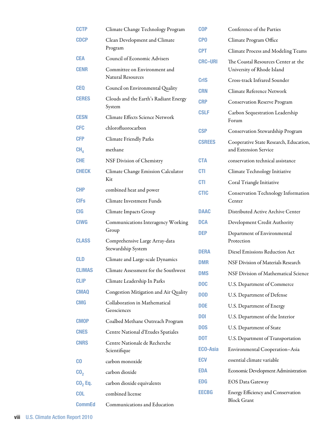| <b>CCTP</b>         | Climate Change Technology Program                        | <b>COP</b>               |
|---------------------|----------------------------------------------------------|--------------------------|
| <b>CDCP</b>         | Clean Development and Climate                            | <b>CPO</b>               |
|                     | Program                                                  | <b>CPT</b>               |
| CEA                 | Council of Economic Advisers                             | <b>CRC-URI</b>           |
| <b>CENR</b>         | Committee on Environment and<br><b>Natural Resources</b> | CrIS                     |
| CEQ                 | Council on Environmental Quality                         | <b>CRN</b>               |
| <b>CERES</b>        | Clouds and the Earth's Radiant Energy<br>System          | <b>CRP</b>               |
| <b>CESN</b>         | Climate Effects Science Network                          | <b>CSLF</b>              |
| <b>CFC</b>          | chlorofluorocarbon                                       | <b>CSP</b>               |
| <b>CFP</b>          | Climate Friendly Parks                                   | <b>CSREES</b>            |
| CH,                 | methane                                                  |                          |
| <b>CHE</b>          | NSF Division of Chemistry                                | <b>CTA</b>               |
| <b>CHECK</b>        | Climate Change Emission Calculator                       | <b>CTI</b>               |
|                     | Kit                                                      | <b>CTI</b>               |
| <b>CHP</b>          | combined heat and power                                  | <b>CTIC</b>              |
| <b>CIFs</b>         | Climate Investment Funds                                 |                          |
| <b>CIG</b>          | Climate Impacts Group                                    | <b>DAAC</b>              |
| <b>CIWG</b>         | Communications Interagency Working<br>Group              | <b>DCA</b><br><b>DEP</b> |
| <b>CLASS</b>        | Comprehensive Large Array-data<br>Stewardship System     | <b>DERA</b>              |
| CLD                 | Climate and Large-scale Dynamics                         | <b>DMR</b>               |
| <b>CLIMAS</b>       | Climate Assessment for the Southwest                     | <b>DMS</b>               |
| <b>CLIP</b>         | Climate Leadership In Parks                              | <b>DOC</b>               |
| <b>CMAQ</b>         | Congestion Mitigation and Air Quality                    | <b>DOD</b>               |
| CMG                 | Collaboration in Mathematical                            | <b>DOE</b>               |
|                     | Geosciences                                              | <b>DOI</b>               |
| <b>CMOP</b>         | Coalbed Methane Outreach Program                         | <b>DOS</b>               |
| <b>CNES</b>         | Centre National d'Etudes Spatiales                       | <b>DOT</b>               |
| <b>CNRS</b>         | Centre Nationale de Recherche<br>Scientifique            | <b>ECO-Asia</b>          |
| CO                  | carbon monoxide                                          | <b>ECV</b>               |
| $\mathbf{C0}_2$     | carbon dioxide                                           | EDA                      |
| CO <sub>2</sub> Eq. | carbon dioxide equivalents                               | EDG                      |
| <b>COL</b>          | combined license                                         | <b>EECBG</b>             |
| <b>CommEd</b>       | Communications and Education                             |                          |

| <b>COP</b>     | Conference of the Parties                                         |  |  |
|----------------|-------------------------------------------------------------------|--|--|
| <b>CPO</b>     | Climate Program Office                                            |  |  |
| CPT            | <b>Climate Process and Modeling Teams</b>                         |  |  |
| <b>CRC-URI</b> | The Coastal Resources Center at the<br>University of Rhode Island |  |  |
| <b>CrIS</b>    | Cross-track Infrared Sounder                                      |  |  |
| <b>CRN</b>     | Climate Reference Network                                         |  |  |
| <b>CRP</b>     | <b>Conservation Reserve Program</b>                               |  |  |
| <b>CSLF</b>    | Carbon Sequestration Leadership<br>Forum                          |  |  |
| <b>CSP</b>     | Conservation Stewardship Program                                  |  |  |
| <b>CSREES</b>  | Cooperative State Research, Education,<br>and Extension Service   |  |  |
| <b>CTA</b>     | conservation technical assistance                                 |  |  |
| CTI            | Climate Technology Initiative                                     |  |  |
| <b>CTI</b>     | Coral Triangle Initiative                                         |  |  |
| <b>CTIC</b>    | Conservation Technology Information<br>Center                     |  |  |
| <b>DAAC</b>    | Distributed Active Archive Center                                 |  |  |
| DCA            | Development Credit Authority                                      |  |  |
| DEP            | Department of Environmental<br>Protection                         |  |  |
| DERA           | Diesel Emissions Reduction Act                                    |  |  |
| <b>DMR</b>     | NSF Division of Materials Research                                |  |  |
| <b>DMS</b>     | NSF Division of Mathematical Science                              |  |  |
| <b>DOC</b>     | U.S. Department of Commerce                                       |  |  |
| <b>DOD</b>     | U.S. Department of Defense                                        |  |  |
| <b>DOE</b>     | U.S. Department of Energy                                         |  |  |
| DOI            | U.S. Department of the Interior                                   |  |  |
| <b>DOS</b>     | U.S. Department of State                                          |  |  |
| DOT            | U.S. Department of Transportation                                 |  |  |
| ECO-Asia       | Environmental Cooperation-Asia                                    |  |  |
| ECV            | essential climate variable                                        |  |  |
| EDA            | Economic Development Administration                               |  |  |
| <b>EDG</b>     | <b>EOS Data Gateway</b>                                           |  |  |
| <b>EECBG</b>   | Energy Efficiency and Conservation<br><b>Block Grant</b>          |  |  |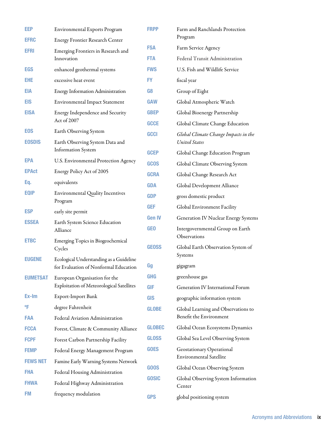| EEP             | Environmental Exports Program                                              | <b>FRPP</b>    | Farm and Ranchlands Protection                                 |
|-----------------|----------------------------------------------------------------------------|----------------|----------------------------------------------------------------|
| <b>EFRC</b>     | Energy Frontier Research Center                                            |                | Program                                                        |
| <b>EFRI</b>     | Emerging Frontiers in Research and                                         | <b>FSA</b>     | Farm Service Agency                                            |
|                 | Innovation                                                                 | <b>FTA</b>     | Federal Transit Administration                                 |
| <b>EGS</b>      | enhanced geothermal systems                                                | <b>FWS</b>     | U.S. Fish and Wildlife Service                                 |
| <b>EHE</b>      | excessive heat event                                                       | <b>FY</b>      | fiscal year                                                    |
| <b>EIA</b>      | Energy Information Administration                                          | G <sub>8</sub> | Group of Eight                                                 |
| <b>EIS</b>      | <b>Environmental Impact Statement</b>                                      | <b>GAW</b>     | Global Atmospheric Watch                                       |
| <b>EISA</b>     | Energy Independence and Security<br>Act of 2007                            | <b>GBEP</b>    | Global Bioenergy Partnership                                   |
|                 |                                                                            | <b>GCCE</b>    | Global Climate Change Education                                |
| <b>EOS</b>      | Earth Observing System                                                     | <b>GCCI</b>    | Global Climate Change Impacts in the                           |
| <b>EOSDIS</b>   | Earth Observing System Data and                                            |                | <b>United States</b>                                           |
|                 | <b>Information System</b>                                                  | <b>GCEP</b>    | Global Change Education Program                                |
| <b>EPA</b>      | U.S. Environmental Protection Agency                                       | <b>GCOS</b>    | Global Climate Observing System                                |
| <b>EPAct</b>    | Energy Policy Act of 2005                                                  | <b>GCRA</b>    | Global Change Research Act                                     |
| Eq.             | equivalents                                                                | <b>GDA</b>     | Global Development Alliance                                    |
| <b>EQIP</b>     | <b>Environmental Quality Incentives</b><br>Program                         | <b>GDP</b>     | gross domestic product                                         |
| <b>ESP</b>      | early site permit                                                          | <b>GEF</b>     | Global Environment Facility                                    |
| <b>ESSEA</b>    | Earth System Science Education                                             | <b>Gen IV</b>  | <b>Generation IV Nuclear Energy Systems</b>                    |
|                 | Alliance                                                                   | <b>GEO</b>     | Intergovernmental Group on Earth                               |
| <b>ETBC</b>     | Emerging Topics in Biogeochemical                                          |                | Observations                                                   |
|                 | Cycles                                                                     | <b>GEOSS</b>   | Global Earth Observation System of                             |
| <b>EUGENE</b>   | Ecological Understanding as a Guideline                                    |                | Systems                                                        |
|                 | for Evaluation of Nonformal Education                                      | Gg             | gigagram                                                       |
| <b>EUMETSAT</b> | European Organisation for the<br>Exploitation of Meteorological Satellites | <b>GHG</b>     | greenhouse gas                                                 |
| Ex-Im           |                                                                            | <b>GIF</b>     | Generation IV International Forum                              |
| °F              | Export-Import Bank                                                         | <b>GIS</b>     | geographic information system                                  |
|                 | degree Fahrenheit                                                          | <b>GLOBE</b>   | Global Learning and Observations to<br>Benefit the Environment |
| <b>FAA</b>      | Federal Aviation Administration                                            | <b>GLOBEC</b>  |                                                                |
| <b>FCCA</b>     | Forest, Climate & Community Alliance                                       | <b>GLOSS</b>   | Global Ocean Ecosystems Dynamics                               |
| <b>FCPF</b>     | Forest Carbon Partnership Facility                                         |                | Global Sea Level Observing System                              |
| <b>FEMP</b>     | Federal Energy Management Program                                          | <b>GOES</b>    | Geostationary Operational<br><b>Environmental Satellite</b>    |
| <b>FEWS NET</b> | Famine Early Warning Systems Network                                       | GOOS           | Global Ocean Observing System                                  |
| <b>FHA</b>      | Federal Housing Administration                                             | <b>GOSIC</b>   | Global Observing System Information                            |
| <b>FHWA</b>     | Federal Highway Administration                                             |                | Center                                                         |
| <b>FM</b>       | frequency modulation                                                       | <b>GPS</b>     | global positioning system                                      |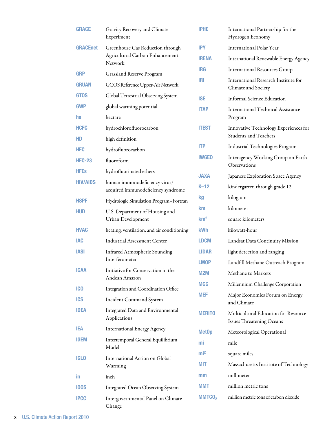| <b>GRACE</b>    | Gravity Recovery and Climate<br>Experiment                          | <b>IPHE</b>        | International Partnership for the<br>Hydrogen Economy             |
|-----------------|---------------------------------------------------------------------|--------------------|-------------------------------------------------------------------|
| <b>GRACEnet</b> | Greenhouse Gas Reduction through                                    | <b>IPY</b>         | <b>International Polar Year</b>                                   |
|                 | Agricultural Carbon Enhancement                                     | <b>IRENA</b>       | International Renewable Energy Agency                             |
| <b>GRP</b>      | Network                                                             | <b>IRG</b>         | <b>International Resources Group</b>                              |
| <b>GRUAN</b>    | Grassland Reserve Program<br>GCOS Reference Upper-Air Network       | <b>IRI</b>         | International Research Institute for<br>Climate and Society       |
| <b>GTOS</b>     | Global Terrestrial Observing System                                 | <b>ISE</b>         | <b>Informal Science Education</b>                                 |
| <b>GWP</b>      | global warming potential                                            | <b>ITAP</b>        | International Technical Assistance                                |
| ha              | hectare                                                             |                    | Program                                                           |
| <b>HCFC</b>     | hydrochlorofluorocarbon                                             | <b>ITEST</b>       | Innovative Technology Experiences for                             |
| HD              | high definition                                                     |                    | Students and Teachers                                             |
| <b>HFC</b>      | hydrofluorocarbon                                                   | <b>ITP</b>         | Industrial Technologies Program                                   |
| <b>HFC-23</b>   | fluoroform                                                          | <b>IWGEO</b>       | Interagency Working Group on Earth<br>Observations                |
| <b>HFEs</b>     | hydrofluorinated ethers                                             | <b>AXAL</b>        | Japanese Exploration Space Agency                                 |
| <b>HIV/AIDS</b> | human immunodeficiency virus/<br>acquired immunodeficiency syndrome | $K-12$             | kindergarten through grade 12                                     |
| <b>HSPF</b>     | Hydrologic Simulation Program-Fortran                               | kg                 | kilogram                                                          |
| HUD             | U.S. Department of Housing and<br>Urban Development                 | km                 | kilometer                                                         |
|                 |                                                                     | km <sup>2</sup>    | square kilometers                                                 |
| <b>HVAC</b>     | heating, ventilation, and air conditioning                          | <b>kWh</b>         | kilowatt-hour                                                     |
| IAC             | <b>Industrial Assessment Center</b>                                 | <b>LDCM</b>        | Landsat Data Continuity Mission                                   |
| IASI            | <b>Infrared Atmospheric Sounding</b>                                | <b>LIDAR</b>       | light detection and ranging                                       |
|                 | Interferometer                                                      | <b>LMOP</b>        | Landfill Methane Outreach Program                                 |
| <b>ICAA</b>     | Initiative for Conservation in the<br>Andean Amazon                 | <b>M2M</b>         | Methane to Markets                                                |
| <b>ICO</b>      | Integration and Coordination Office                                 | <b>MCC</b>         | Millennium Challenge Corporation                                  |
| <b>ICS</b>      | <b>Incident Command System</b>                                      | <b>MEF</b>         | Major Economies Forum on Energy<br>and Climate                    |
| <b>IDEA</b>     | Integrated Data and Environmental<br>Applications                   | <b>MERITO</b>      | Multicultural Education for Resource<br>Issues Threatening Oceans |
| IEA             | <b>International Energy Agency</b>                                  | <b>MetOp</b>       | Meteorological Operational                                        |
| <b>IGEM</b>     | Intertemporal General Equilibrium<br>Model                          | mi                 | mile                                                              |
| IGLO            | International Action on Global                                      | mi <sup>2</sup>    | square miles                                                      |
|                 | Warming                                                             | MIT                | Massachusetts Institute of Technology                             |
| in              | inch                                                                | mm                 | millimeter                                                        |
| <b>100S</b>     | <b>Integrated Ocean Observing System</b>                            | MMT                | million metric tons                                               |
| <b>IPCC</b>     | Intergovernmental Panel on Climate<br>Change                        | MMTCO <sub>2</sub> | million metric tons of carbon dioxide                             |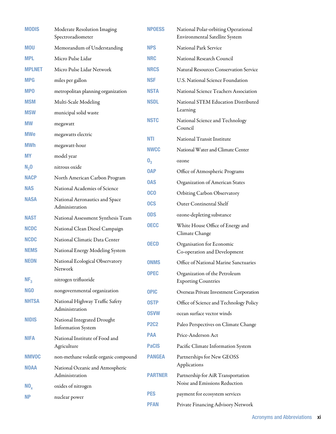| <b>MODIS</b>                | Moderate Resolution Imaging<br>Spectroradiometer                                                          | <b>NPOESS</b>                | National Polar-orbiting Operational<br>Environmental Satellite System |  |
|-----------------------------|-----------------------------------------------------------------------------------------------------------|------------------------------|-----------------------------------------------------------------------|--|
| <b>MOU</b>                  | Memorandum of Understanding                                                                               | <b>NPS</b>                   | National Park Service                                                 |  |
| <b>MPL</b>                  | Micro Pulse Lidar                                                                                         | <b>NRC</b>                   | National Research Council                                             |  |
| <b>MPLNET</b>               | Micro Pulse Lidar Network                                                                                 | <b>NRCS</b>                  | <b>Natural Resources Conservation Service</b>                         |  |
| <b>MPG</b>                  | miles per gallon                                                                                          | <b>NSF</b>                   | U.S. National Science Foundation                                      |  |
| <b>MPO</b>                  | metropolitan planning organization                                                                        | <b>NSTA</b>                  | National Science Teachers Association                                 |  |
| <b>MSM</b>                  | Multi-Scale Modeling                                                                                      | <b>NSDL</b>                  | National STEM Education Distributed<br>Learning                       |  |
| <b>MSW</b>                  | municipal solid waste                                                                                     |                              |                                                                       |  |
| <b>MW</b>                   | megawatt                                                                                                  | <b>NSTC</b>                  | National Science and Technology<br>Council                            |  |
| <b>MWe</b>                  | megawatts electric                                                                                        | NTI                          | National Transit Institute                                            |  |
| <b>MWh</b>                  | megawatt-hour                                                                                             | <b>NWCC</b>                  | National Water and Climate Center                                     |  |
| <b>MY</b>                   | model year                                                                                                |                              | ozone                                                                 |  |
| N <sub>2</sub> 0            | nitrous oxide                                                                                             | 0 <sub>3</sub><br><b>OAP</b> |                                                                       |  |
| <b>NACP</b>                 | North American Carbon Program                                                                             | <b>OAS</b>                   | Office of Atmospheric Programs                                        |  |
| <b>NAS</b>                  | National Academies of Science                                                                             | <b>OCO</b>                   | Organization of American States                                       |  |
| <b>NASA</b>                 | National Aeronautics and Space                                                                            |                              | Orbiting Carbon Observatory                                           |  |
|                             | Administration                                                                                            | <b>OCS</b>                   | Outer Continental Shelf                                               |  |
| <b>NAST</b>                 | National Assessment Synthesis Team                                                                        | <b>ODS</b>                   | ozone-depleting substance                                             |  |
| <b>NCDC</b>                 | National Clean Diesel Campaign                                                                            | <b>OECC</b>                  | White House Office of Energy and<br>Climate Change                    |  |
| <b>NCDC</b>                 | National Climatic Data Center                                                                             | <b>OECD</b>                  | Organisation for Economic                                             |  |
| <b>NEMS</b>                 | National Energy Modeling System                                                                           |                              | Co-operation and Development                                          |  |
| <b>NEON</b>                 | National Ecological Observatory                                                                           | ONMS                         | Office of National Marine Sanctuaries                                 |  |
| NF <sub>3</sub>             | Network<br>nitrogen trifluoride                                                                           | <b>OPEC</b>                  | Organization of the Petroleum<br><b>Exporting Countries</b>           |  |
| <b>NGO</b>                  | nongovernmental organization                                                                              | <b>OPIC</b>                  | Overseas Private Investment Corporation                               |  |
| <b>NHTSA</b>                | National Highway Traffic Safety                                                                           | <b>OSTP</b>                  | Office of Science and Technology Policy                               |  |
|                             | Administration                                                                                            | <b>OSVW</b>                  | ocean surface vector winds                                            |  |
| <b>NIDIS</b><br><b>NIFA</b> | National Integrated Drought<br><b>Information System</b><br>National Institute of Food and<br>Agriculture | <b>P2C2</b>                  | Paleo Perspectives on Climate Change                                  |  |
|                             |                                                                                                           | <b>PAA</b>                   | Price-Anderson Act                                                    |  |
|                             |                                                                                                           | <b>PaCIS</b>                 | Pacific Climate Information System                                    |  |
| <b>NMVOC</b>                | non-methane volatile organic compound                                                                     | <b>PANGEA</b>                |                                                                       |  |
| <b>NOAA</b>                 | National Oceanic and Atmospheric                                                                          |                              | Partnerships for New GEOSS<br>Applications                            |  |
|                             | Administration                                                                                            | PARTNER                      | Partnership for AiR Transportation                                    |  |
| $NO_{x}$                    | oxides of nitrogen                                                                                        |                              | Noise and Emissions Reduction                                         |  |
| <b>NP</b>                   | nuclear power                                                                                             | <b>PES</b>                   | payment for ecosystem services                                        |  |
|                             |                                                                                                           | <b>PFAN</b>                  | Private Financing Advisory Network                                    |  |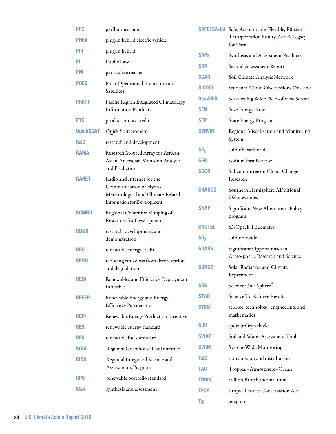| <b>PFC</b>       | perfluorocarbon                                                                                                            | <b>SAFET</b>        |
|------------------|----------------------------------------------------------------------------------------------------------------------------|---------------------|
| <b>PHEV</b>      | plug-in hybrid electric vehicle                                                                                            |                     |
| PIH              | plug-in hybrid                                                                                                             | <b>SAPs</b>         |
| PL               | Public Law                                                                                                                 | <b>SAR</b>          |
| PM               | particulate matter                                                                                                         | <b>SCAN</b>         |
| <b>POES</b>      | Polar Operational Environmental<br>Satellites                                                                              | <b>S'COO</b>        |
| <b>PRICIP</b>    | Pacific Region Integrated Climatology<br><b>Information Products</b>                                                       | <b>SeaWi</b><br>SEN |
| PTC              | production tax credit                                                                                                      | <b>SEP</b>          |
| <b>QuickSCAT</b> | Quick Scatterometer                                                                                                        | <b>SERVII</b>       |
| <b>R&amp;D</b>   | research and development                                                                                                   |                     |
| <b>RAMA</b>      | Research Moored Array for African-                                                                                         | SF <sub>6</sub>     |
|                  | Asian-Australian Monsoon Analysis                                                                                          | SFR                 |
|                  | and Prediction                                                                                                             | <b>SGCR</b>         |
| RANET            | Radio and Internet for the<br>Communication of Hydro-<br>Meteorological and Climate-Related<br>Information for Development | <b>SHADO</b>        |
| RCMRD            | Regional Center for Mapping of<br>Resources for Development                                                                | <b>SNAP</b>         |
| <b>RD&amp;D</b>  | research, development, and                                                                                                 | <b>SNOTE</b>        |
|                  | demonstration                                                                                                              | SO <sub>2</sub>     |
| <b>REC</b>       | renewable energy credit                                                                                                    | <b>SOARS</b>        |
| REDD             | reducing emissions from deforestation<br>and degradation                                                                   | <b>SORCE</b>        |
| REDI             | Renewables and Efficiency Deployment<br>Initiative                                                                         | <b>SOS</b>          |
| Reeep            | Renewable Energy and Energy                                                                                                | <b>STAR</b>         |
|                  | Efficiency Partnership                                                                                                     | <b>STEM</b>         |
| REPI             | Renewable Energy Production Incentive                                                                                      |                     |
| RES              | renewable energy standard                                                                                                  | <b>SUV</b>          |
| RFS              | renewable fuels standard                                                                                                   | <b>SWAT</b>         |
| RGGI             | Regional Greenhouse Gas Initiative                                                                                         | <b>SWIM</b>         |
| RISA             | Regional Integrated Science and                                                                                            | T&D                 |
|                  | Assessments Program                                                                                                        | TA <sub>0</sub>     |
| <b>RPS</b>       | renewable portfolio standard                                                                                               | <b>TBtus</b>        |
| S&A              | synthesis and assessment                                                                                                   | <b>TFCA</b>         |
|                  |                                                                                                                            |                     |

| <b>SAFETEA-LU</b> | Safe, Accountable, Flexible, Efficient<br>Transportation Equity Act: A Legacy<br>for Users |  |  |
|-------------------|--------------------------------------------------------------------------------------------|--|--|
| <b>SAPs</b>       | Synthesis and Assessment Products                                                          |  |  |
| <b>SAR</b>        | Second Assessment Report                                                                   |  |  |
| <b>SCAN</b>       | Soil Climate Analysis Network                                                              |  |  |
| S'COOL            | Students' Cloud Observations On-Line                                                       |  |  |
| <b>SeaWiFS</b>    | Sea-viewing Wide Field-of-view Sensor                                                      |  |  |
| <b>SEN</b>        | Save Energy Now                                                                            |  |  |
| SEP               | State Energy Program                                                                       |  |  |
| <b>SERVIR</b>     | Regional Visualization and Monitoring<br>System                                            |  |  |
| SF <sub>6</sub>   | sulfur hexafluoride                                                                        |  |  |
| SFR               | Sodium Fast Reactor                                                                        |  |  |
| <b>SGCR</b>       | Subcommittee on Global Change<br>Research                                                  |  |  |
| <b>SHADOZ</b>     | Southern Hemisphere ADditional<br>OZonesondes                                              |  |  |
| <b>SNAP</b>       | Significant New Alternatives Policy<br>program                                             |  |  |
| <b>SNOTEL</b>     | SNOpack TELemetry                                                                          |  |  |
| S0,               | sulfur dioxide                                                                             |  |  |
| <b>SOARS</b>      | Significant Opportunities in<br>Atmospheric Research and Science                           |  |  |
| <b>SORCE</b>      | Solar Radiation and Climate<br>Experiment                                                  |  |  |
| <b>SOS</b>        | Science On a Sphere®                                                                       |  |  |
| <b>STAR</b>       | Science To Achieve Results                                                                 |  |  |
| <b>STEM</b>       | science, technology, engineering, and<br>mathematics                                       |  |  |
| <b>SUV</b>        | sport utility vehicle                                                                      |  |  |
| <b>SWAT</b>       | Soil and Water Assessment Tool                                                             |  |  |
| <b>SWiM</b>       | System-Wide Monitoring                                                                     |  |  |
| <b>T&amp;D</b>    | transmission and distribution                                                              |  |  |
| TA <sub>0</sub>   | Tropical-Atmosphere-Ocean                                                                  |  |  |
| <b>TBtus</b>      | trillion British thermal units                                                             |  |  |
| <b>TFCA</b>       | <b>Tropical Forest Conservation Act</b>                                                    |  |  |
| Tg                | teragram                                                                                   |  |  |